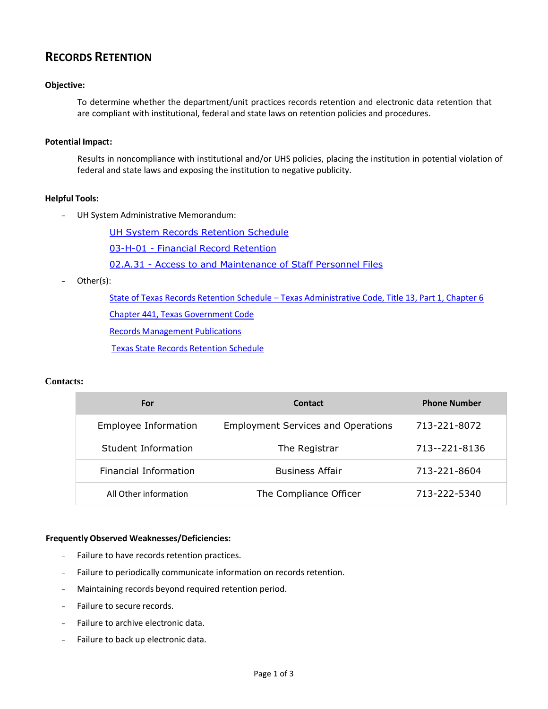# **RECORDS RETENTION**

#### **Objective:**

To determine whether the department/unit practices records retention and electronic data retention that are compliant with institutional, federal and state laws on retention policies and procedures.

#### **Potential Impact:**

Results in noncompliance with institutional and/or UHS policies, placing the institution in potential violation of federal and state laws and exposing the institution to negative publicity.

## **Helpful Tools:**

- UH System Administrative Memorandum:

[UH System Records Retention Schedule](http://www.uh.edu/finance/references/Record_Retention/Retention_Schedule.pdf)

03-H-01 - Financial Record [Retention](http://www.uhsa.uh.edu/sam/3FicsalAffairs/3H1.pdf)

02.A.31 - [Access to and Maintenance of Staff Personnel Files](http://www.uhsa.uh.edu/sam/2HumanResources/2A31.pdf)

Other(s):

State of Texas Records Retention Schedule – Texas [Administrative](http://info.sos.state.tx.us/pls/pub/readtac$ext.TacPage?sl=T&app=9&p_dir=N&p_rloc=120313&p_tloc=&p_ploc=1&pg=9&p_tac=&ti=13&pt=1&ch=3&rl=13) Code, Title 13, Part 1, Chapter 6

Chapter 441, Texas [Government](http://www.statutes.legis.state.tx.us/Docs/GV/htm/GV.441.htm) Code

Records [Management](http://www.tsl.state.tx.us/slrm/recordspubs/index.html#statemanual) Publications

Texas State Records [Retention](http://www.tsl.state.tx.us/slrm/recordspubs/state.html#RRS4) Schedule

## **Contacts:**

| For                   | Contact                                   | <b>Phone Number</b> |
|-----------------------|-------------------------------------------|---------------------|
| Employee Information  | <b>Employment Services and Operations</b> | 713-221-8072        |
| Student Information   | The Registrar                             | 713--221-8136       |
| Financial Information | <b>Business Affair</b>                    | 713-221-8604        |
| All Other information | The Compliance Officer                    | 713-222-5340        |

## **Frequently Observed Weaknesses/Deficiencies:**

- Failure to have records retention practices.
- Failure to periodically communicate information on records retention.
- Maintaining records beyond required retention period.
- Failure to secure records.
- Failure to archive electronic data.
- Failure to back up electronic data.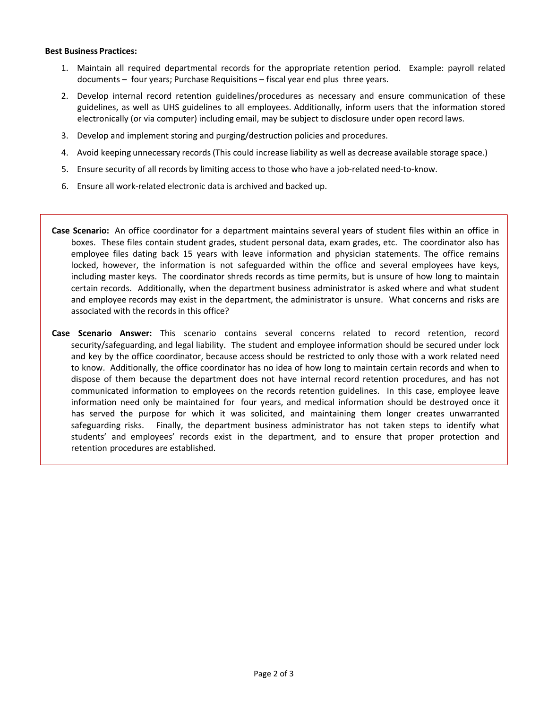#### **Best Business Practices:**

- 1. Maintain all required departmental records for the appropriate retention period. Example: payroll related documents – four years; Purchase Requisitions – fiscal year end plus three years.
- 2. Develop internal record retention guidelines/procedures as necessary and ensure communication of these guidelines, as well as UHS guidelines to all employees. Additionally, inform users that the information stored electronically (or via computer) including email, may be subject to disclosure under open record laws.
- 3. Develop and implement storing and purging/destruction policies and procedures.
- 4. Avoid keeping unnecessary records(This could increase liability as well as decrease available storage space.)
- 5. Ensure security of all records by limiting access to those who have a job-related need-to-know.
- 6. Ensure all work‐related electronic data is archived and backed up.
- **Case Scenario:** An office coordinator for a department maintains several years of student files within an office in boxes. These files contain student grades, student personal data, exam grades, etc. The coordinator also has employee files dating back 15 years with leave information and physician statements. The office remains locked, however, the information is not safeguarded within the office and several employees have keys, including master keys. The coordinator shreds records as time permits, but is unsure of how long to maintain certain records. Additionally, when the department business administrator is asked where and what student and employee records may exist in the department, the administrator is unsure. What concerns and risks are associated with the records in this office?
- **Case Scenario Answer:** This scenario contains several concerns related to record retention, record security/safeguarding, and legal liability. The student and employee information should be secured under lock and key by the office coordinator, because access should be restricted to only those with a work related need to know. Additionally, the office coordinator has no idea of how long to maintain certain records and when to dispose of them because the department does not have internal record retention procedures, and has not communicated information to employees on the records retention guidelines. In this case, employee leave information need only be maintained for four years, and medical information should be destroyed once it has served the purpose for which it was solicited, and maintaining them longer creates unwarranted safeguarding risks. Finally, the department business administrator has not taken steps to identify what students' and employees' records exist in the department, and to ensure that proper protection and retention procedures are established.